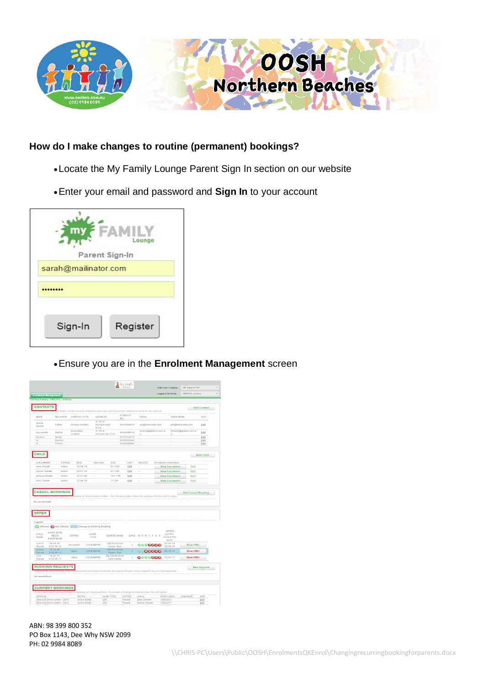

## **How do I make changes to routine (permanent) bookings?**

- Locate the My Family Lounge Parent Sign In section on our website
- Enter your email and password and **Sign In** to your account



Ensure you are in the **Enrolment Management** screen

|                                                                                                                                                                                       |                                                               |                      |                                    |                                    |                          |                                                                                                                                 | Child Care Company:                        | QK Support DB             |                    |
|---------------------------------------------------------------------------------------------------------------------------------------------------------------------------------------|---------------------------------------------------------------|----------------------|------------------------------------|------------------------------------|--------------------------|---------------------------------------------------------------------------------------------------------------------------------|--------------------------------------------|---------------------------|--------------------|
|                                                                                                                                                                                       | <b>Enrolment Management</b><br>Editing Family: OKEEFE, Joshua |                      |                                    |                                    |                          |                                                                                                                                 | Logged in for family                       | OKEEFE, Joshua            |                    |
|                                                                                                                                                                                       |                                                               |                      |                                    |                                    |                          |                                                                                                                                 |                                            |                           |                    |
| <b>CONTACTS</b>                                                                                                                                                                       |                                                               |                      |                                    |                                    |                          | FAMILY contact must be entered as the main point of contact. Additional contacts are optional                                   |                                            |                           | <b>Add Contact</b> |
|                                                                                                                                                                                       |                                                               |                      |                                    |                                    | CONTACT                  |                                                                                                                                 |                                            |                           |                    |
| NAME                                                                                                                                                                                  | <b>RELATION</b>                                               | CONTACT TYPE         | <b>ADDRESS</b>                     |                                    | NO                       | <b>EMAIL</b>                                                                                                                    | <b>USER NAME</b>                           |                           | EDIT               |
| Joshie<br>Okaefa                                                                                                                                                                      | Father                                                        | Primary Contact      | 11 hill st<br>murrarie QLD<br>4123 |                                    | 0432569870               | jok@mailinator.com                                                                                                              |                                            | jok@mailinator.com        | Edit               |
| lisa okeata                                                                                                                                                                           | Mother                                                        | Secondary<br>Contact | 11.bill st.                        | murrarie gld 4123                  | 0435698510               | lokeefe@qktech.com.a<br>$\mathbf{u}$                                                                                            | $\mathbf{u}$                               | tokeefe@qktech.com.a      | Edit               |
| test test                                                                                                                                                                             | Doctor                                                        |                      |                                    |                                    | 0731555879               | ¥                                                                                                                               | c                                          |                           | Edit               |
| 11<br>t t                                                                                                                                                                             | Brother<br>Friend                                             |                      |                                    |                                    | 0436966666<br>0435698885 | ÷                                                                                                                               | š                                          |                           | Edit<br>Edit       |
|                                                                                                                                                                                       |                                                               |                      |                                    |                                    |                          |                                                                                                                                 |                                            |                           |                    |
| <b>CHILD</b>                                                                                                                                                                          |                                                               |                      |                                    |                                    |                          |                                                                                                                                 |                                            |                           | Add Child          |
| CHILD NAME                                                                                                                                                                            | <b>STATUS</b>                                                 | DOB                  | Due Date                           | AGE                                | EDIT                     | DELETE                                                                                                                          | Enrolment information                      |                           |                    |
| Jane Okeefe                                                                                                                                                                           | Active                                                        | $15 - 08 - 16$       | ÷                                  | 0Y 10M                             | Edit                     | ×                                                                                                                               | <b>View Enrolment</b>                      | Print                     |                    |
| Joshie Okeele                                                                                                                                                                         | Active                                                        | $25 - 07 - 10$       | ä,                                 | 6Y 11M                             | Edit                     | ×                                                                                                                               | <b>View Enrolment</b>                      | Print                     |                    |
| Joshua Okeete                                                                                                                                                                         | Active                                                        | 25-07-00             | š                                  | 16Y 11M                            | Edit                     | s                                                                                                                               | <b>View Enrolment</b>                      | Print                     |                    |
| Josh Okeefe                                                                                                                                                                           | Active                                                        | $22 - 04 - 10$       | ÷                                  | <b>7Y 2M</b>                       | Edit                     | ÷                                                                                                                               | <b>View Enrolment</b>                      | Print                     |                    |
|                                                                                                                                                                                       | <b>CASUAL BOOKINGS</b>                                        |                      |                                    |                                    |                          | ailable for the enrolled children. (The following table shows the summary for the next 30 days)                                 |                                            | <b>Add Casual Booking</b> |                    |
|                                                                                                                                                                                       |                                                               |                      |                                    |                                    |                          |                                                                                                                                 |                                            |                           |                    |
|                                                                                                                                                                                       |                                                               |                      |                                    |                                    |                          |                                                                                                                                 |                                            |                           |                    |
|                                                                                                                                                                                       | Offered CoNot Offered Change to Existing Booking              |                      |                                    |                                    |                          |                                                                                                                                 |                                            |                           |                    |
|                                                                                                                                                                                       | START DATE<br><b>REQ'D</b><br>START DATE                      | <b>STATUS</b>        | CARE<br>TYPE                       | CENTRE NAME                        |                          | DAYS M T W T F S S                                                                                                              | OFFER<br><b>EXPIRY</b><br>ACCEPTED<br>DATE |                           |                    |
|                                                                                                                                                                                       | $30 - 08 - 16$<br>$3:22-08-16$                                | Accepted             | <b>LDC/KIN/PRE</b>                 | *QK Preschool<br>Centre-Dee        | $\overline{2}$           | 9990066                                                                                                                         | $25 - 09 - 16$<br>$30 - 08 - 16$           | View Offer                |                    |
|                                                                                                                                                                                       | $17 - 10 - 16$<br>$3.19 - 09 - 16$                            | Open                 | <b>LOC/KINPRE</b>                  | <b>'GK Preschool</b><br>Centre-Dee | ٥                        | <b>JU GOOGG</b>                                                                                                                 | $09 - 10 - 16$                             | <b>View Offer</b>         |                    |
|                                                                                                                                                                                       | $15 - 05 - 17$<br>$S:15-05-17$                                | Clown                | <b>LDC/KINFRE</b>                  | Big Giraffe Child<br>Care Centre   | $\overline{\phantom{a}}$ | 0000000                                                                                                                         | $20 - 04 - 17$                             | <b>View Offer</b>         |                    |
|                                                                                                                                                                                       | <b>REQUESTS</b>                                               |                      |                                    |                                    |                          | ange current permanent bookings are displayed here. These requests are yet to be approved                                       |                                            |                           | <b>New Request</b> |
|                                                                                                                                                                                       | <b>CURRENT BOOKINGS</b>                                       |                      |                                    |                                    |                          |                                                                                                                                 |                                            |                           |                    |
|                                                                                                                                                                                       |                                                               | ROOM                 |                                    | CARE TYPE                          | <b>STATUS</b>            | Current permanent weekly/fortnightly bookings are displayed here. To request a change in booking press the edit option<br>CHILD | START DATE                                 | END DATE                  | EDIT               |
| No records found<br><b>OFFER</b><br>Legend<br>CHILD<br><b>NAME</b><br>Joshie<br>Okeefe<br><b>Joshio</b><br>Olusafe<br>Josh<br>Okeafe<br><b>BOOKING</b><br>No records found<br>SERVICE | OKeYLM Demo centre - Dave                                     | <b>Junior Kindy</b>  |                                    | LDC                                | Placed                   | Jane Okeefe                                                                                                                     | 1/05/2017                                  |                           | Edit               |

ABN: 98 399 800 352 PO Box 1143, Dee Why NSW 2099 PH: 02 9984 8089